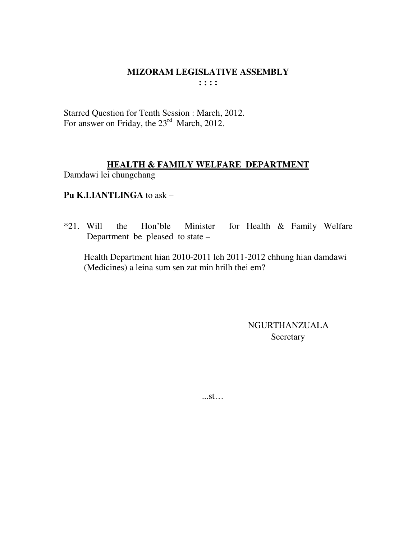#### MIZORAM LEGISLATIVE ASSEMBLY  $\cdots$

Starred Question for Tenth Session : March, 2012. For answer on Friday, the  $23<sup>rd</sup>$  March, 2012.

## **HEALTH & FAMILY WELFARE DEPARTMENT**

Damdawi lei chungchang

## Pu K.LIANTLINGA to ask -

 $*21.$  Will for Health & Family Welfare Hon'ble Minister the Department be pleased to state –

Health Department hian 2010-2011 leh 2011-2012 chhung hian damdawi (Medicines) a leina sum sen zat min hrilh thei em?

> NGURTHANZUALA Secretary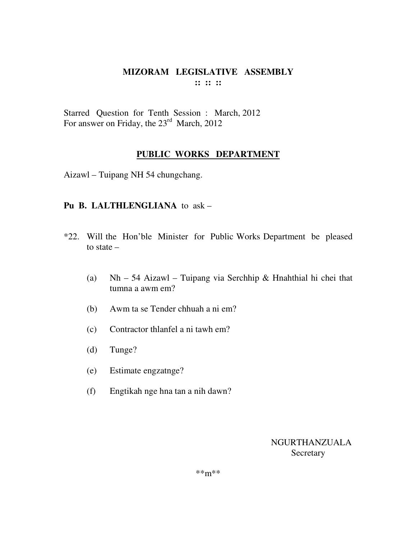Starred Question for Tenth Session : March, 2012 For answer on Friday, the 23<sup>rd</sup> March, 2012

## **PUBLIC WORKS DEPARTMENT**

Aizawl – Tuipang NH 54 chungchang.

## **Pu B. LALTHLENGLIANA** to ask –

- \*22. Will the Hon'ble Minister for Public Works Department be pleased to state –
	- (a) Nh 54 Aizawl Tuipang via Serchhip & Hnahthial hi chei that tumna a awm em?
	- (b) Awm ta se Tender chhuah a ni em?
	- (c) Contractor thlanfel a ni tawh em?
	- (d) Tunge?
	- (e) Estimate engzatnge?
	- (f) Engtikah nge hna tan a nih dawn?

NGURTHANZUALA **Secretary**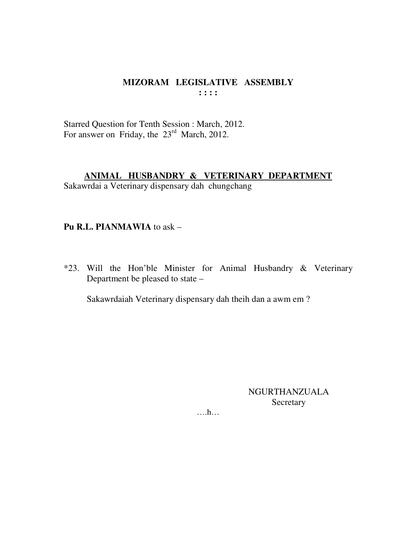Starred Question for Tenth Session : March, 2012.<br>For answer on Friday, the 23<sup>rd</sup> March, 2012.

## ANIMAL HUSBANDRY & VETERINARY DEPARTMENT

Sakawrdai a Veterinary dispensary dah chungchang

#### Pu R.L. PIANMAWIA to ask -

\*23. Will the Hon'ble Minister for Animal Husbandry & Veterinary Department be pleased to state –

Sakawrdaiah Veterinary dispensary dah theih dan a awm em?

**NGURTHANZUALA** Secretary

 $\dots h\dots$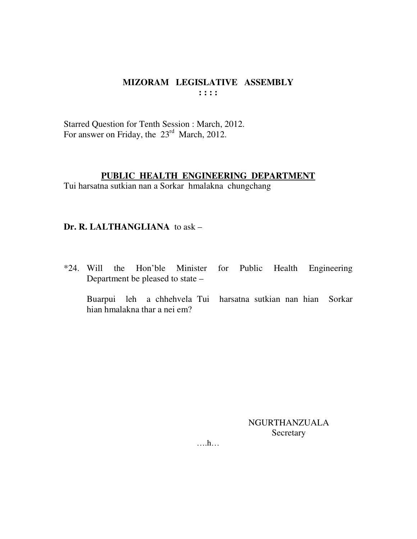Starred Question for Tenth Session : March, 2012. For answer on Friday, the  $23<sup>rd</sup>$  March, 2012.

#### **PUBLIC HEALTH ENGINEERING DEPARTMENT**

Tui harsatna sutkian nan a Sorkar hmalakna chungchang

#### **Dr. R. LALTHANGLIANA** to ask –

\*24. Will the Hon'ble Minister for Public Health Engineering Department be pleased to state –

 Buarpui leh a chhehvela Tui harsatna sutkian nan hian Sorkar hian hmalakna thar a nei em?

> NGURTHANZUALA Secretary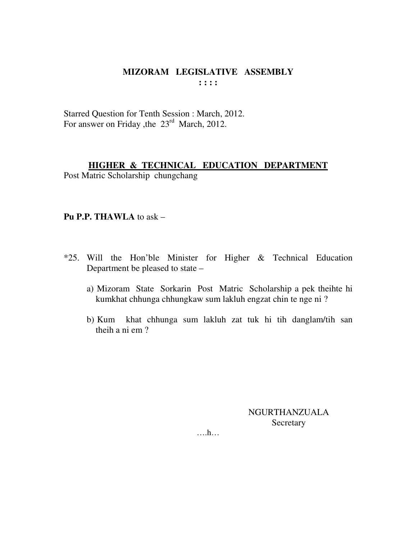Starred Question for Tenth Session : March, 2012. For answer on Friday , the 23<sup>rd</sup> March, 2012.

## **HIGHER & TECHNICAL EDUCATION DEPARTMENT**

Post Matric Scholarship chungchang

## **Pu P.P. THAWLA** to ask –

- \*25. Will the Hon'ble Minister for Higher & Technical Education Department be pleased to state –
	- a) Mizoram State Sorkarin Post Matric Scholarship a pek theihte hi kumkhat chhunga chhungkaw sum lakluh engzat chin te nge ni ?
	- b) Kum khat chhunga sum lakluh zat tuk hi tih danglam/tih san theih a ni em ?

NGURTHANZUALA Secretary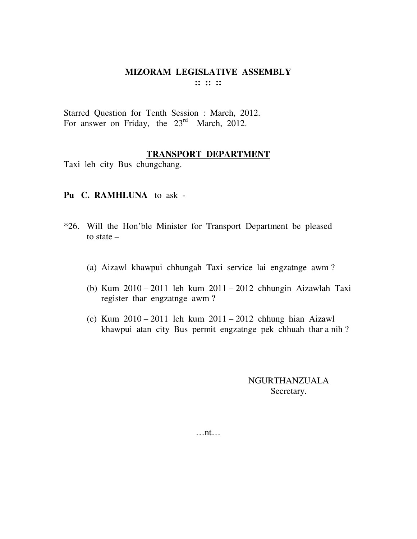Starred Question for Tenth Session : March, 2012. For answer on Friday, the 23<sup>rd</sup> March, 2012.

#### **TRANSPORT DEPARTMENT**

Taxi leh city Bus chungchang.

#### **Pu C. RAMHLUNA** to ask -

- \*26. Will the Hon'ble Minister for Transport Department be pleased to state –
	- (a) Aizawl khawpui chhungah Taxi service lai engzatnge awm ?
	- (b) Kum 2010 2011 leh kum 2011 2012 chhungin Aizawlah Taxi register thar engzatnge awm ?
	- (c) Kum 2010 2011 leh kum 2011 2012 chhung hian Aizawl khawpui atan city Bus permit engzatnge pek chhuah thar a nih ?

NGURTHANZUALA Secretary.

…nt…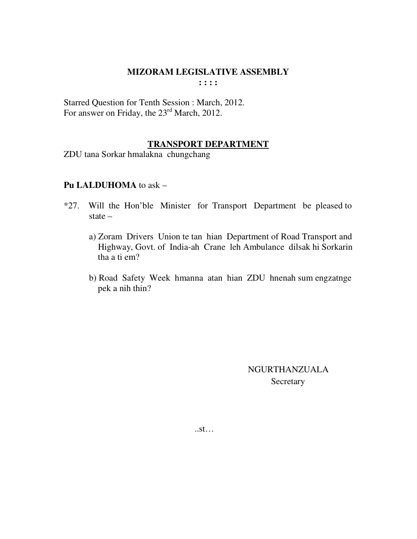## **MIZORAM LEGISLATIVE ASSEMBLY**

**: : : :** 

Starred Question for Tenth Session : March, 2012. For answer on Friday, the 23<sup>rd</sup> March, 2012.

## **TRANSPORT DEPARTMENT**

ZDU tana Sorkar hmalakna chungchang

## **Pu LALDUHOMA** to ask –

- \*27. Will the Hon'ble Minister for Transport Department be pleased to state –
	- a) Zoram Drivers Union te tan hian Department of Road Transport and Highway, Govt. of India-ah Crane leh Ambulance dilsak hi Sorkarin tha a ti em?
	- b) Road Safety Week hmanna atan hian ZDU hnenah sum engzatnge pek a nih thin?

 NGURTHANZUALA **Secretary** 

..st…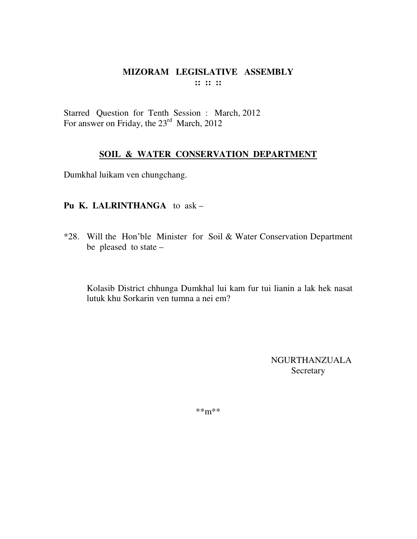Starred Question for Tenth Session : March, 2012 For answer on Friday, the 23<sup>rd</sup> March, 2012

## **SOIL & WATER CONSERVATION DEPARTMENT**

Dumkhal luikam ven chungchang.

## **Pu K. LALRINTHANGA** to ask –

\*28. Will the Hon'ble Minister for Soil & Water Conservation Department be pleased to state –

Kolasib District chhunga Dumkhal lui kam fur tui lianin a lak hek nasat lutuk khu Sorkarin ven tumna a nei em?

> NGURTHANZUALA Secretary

\*\*m\*\*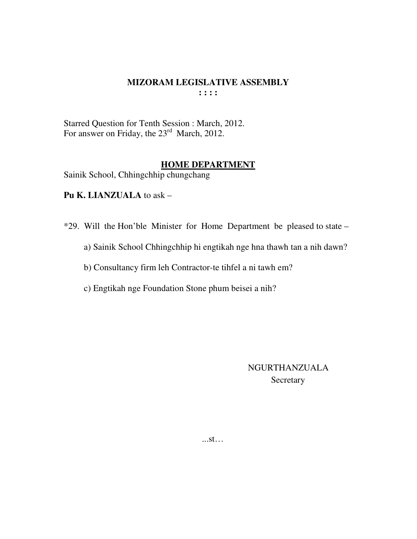#### **MIZORAM LEGISLATIVE ASSEMBLY**  $\cdots$

Starred Question for Tenth Session : March, 2012.<br>For answer on Friday, the  $23^{\text{rd}}$  March, 2012.

#### **HOME DEPARTMENT**

Sainik School, Chhingchhip chungchang

Pu K. LIANZUALA to ask -

\*29. Will the Hon'ble Minister for Home Department be pleased to state -

a) Sainik School Chhingchhip hi engtikah nge hna thawh tan a nih dawn?

b) Consultancy firm leh Contractor-te tihfel a ni tawh em?

c) Engtikah nge Foundation Stone phum beisei a nih?

**NGURTHANZUALA** Secretary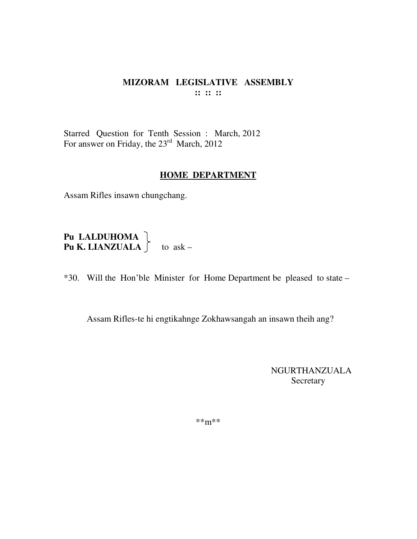Starred Question for Tenth Session : March, 2012 For answer on Friday, the 23<sup>rd</sup> March, 2012

#### **HOME DEPARTMENT**

Assam Rifles insawn chungchang.

**Pu LALDUHOMA**<br>**Pu K. LIANZUALA**  $\}$  to ask –

\*30. Will the Hon'ble Minister for Home Department be pleased to state -

Assam Rifles-te hi engtikahnge Zokhawsangah an insawn theih ang?

**NGURTHANZUALA** Secretary

 $***m***$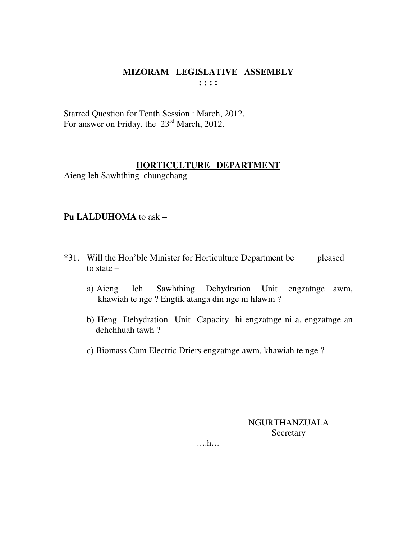Starred Question for Tenth Session : March, 2012. For answer on Friday, the 23<sup>rd</sup> March, 2012.

## **HORTICULTURE DEPARTMENT**

Aieng leh Sawhthing chungchang

## **Pu LALDUHOMA** to ask –

- \*31. Will the Hon'ble Minister for Horticulture Department be pleased to state –
	- a) Aieng leh Sawhthing Dehydration Unit engzatnge awm, khawiah te nge ? Engtik atanga din nge ni hlawm ?
	- b) Heng Dehydration Unit Capacity hi engzatnge ni a, engzatnge an dehchhuah tawh ?
	- c) Biomass Cum Electric Driers engzatnge awm, khawiah te nge ?

NGURTHANZUALA **Secretary**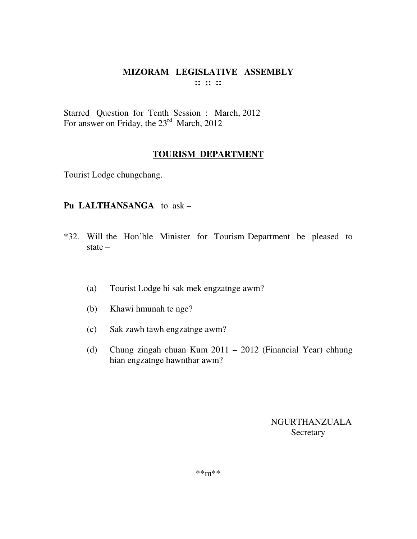Starred Question for Tenth Session : March, 2012 For answer on Friday, the 23<sup>rd</sup> March, 2012

## **TOURISM DEPARTMENT**

Tourist Lodge chungchang.

## **Pu LALTHANSANGA** to ask –

- \*32. Will the Hon'ble Minister for Tourism Department be pleased to state –
	- (a) Tourist Lodge hi sak mek engzatnge awm?
	- (b) Khawi hmunah te nge?
	- (c) Sak zawh tawh engzatnge awm?
	- (d) Chung zingah chuan Kum 2011 2012 (Financial Year) chhung hian engzatnge hawnthar awm?

NGURTHANZUALA **Secretary**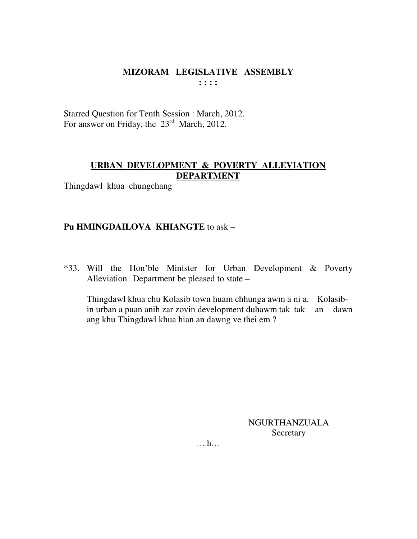Starred Question for Tenth Session : March, 2012. For answer on Friday, the 23<sup>rd</sup> March, 2012.

## **URBAN DEVELOPMENT & POVERTY ALLEVIATION DEPARTMENT**

Thingdawl khua chungchang

## **Pu HMINGDAILOVA KHIANGTE** to ask –

\*33. Will the Hon'ble Minister for Urban Development & Poverty Alleviation Department be pleased to state –

 Thingdawl khua chu Kolasib town huam chhunga awm a ni a. Kolasib in urban a puan anih zar zovin development duhawm tak tak an dawn ang khu Thingdawl khua hian an dawng ve thei em ?

> NGURTHANZUALA **Secretary**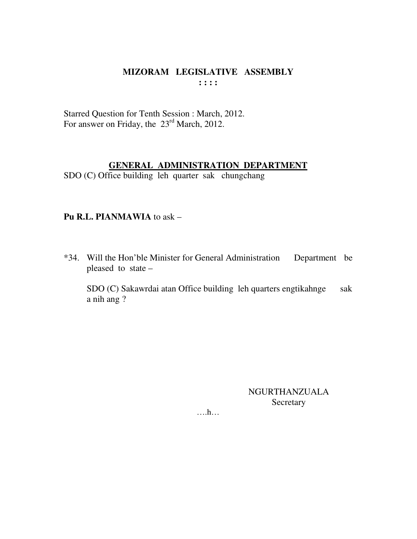Starred Question for Tenth Session : March, 2012. For answer on Friday, the 23<sup>rd</sup> March, 2012.

## **GENERAL ADMINISTRATION DEPARTMENT**

SDO (C) Office building leh quarter sak chungchang

## Pu R.L. PIANMAWIA to ask -

\*34. Will the Hon'ble Minister for General Administration Department be pleased to state  $-$ 

SDO (C) Sakawrdai atan Office building leh quarters engtikahnge sak a nih ang?

> **NGURTHANZUALA** Secretary

 $\dots$ ...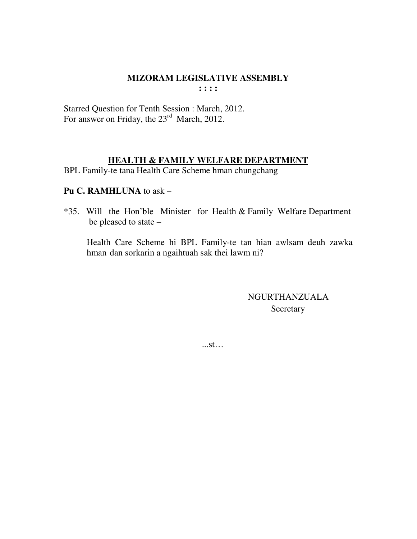## **MIZORAM LEGISLATIVE ASSEMBLY**

 $: : : :$ 

Starred Question for Tenth Session : March, 2012. For answer on Friday, the 23<sup>rd</sup> March, 2012.

#### **HEALTH & FAMILY WELFARE DEPARTMENT**

BPL Family-te tana Health Care Scheme hman chungchang

## Pu C. RAMHLUNA to ask -

\*35. Will the Hon'ble Minister for Health & Family Welfare Department be pleased to state –

Health Care Scheme hi BPL Family-te tan hian awlsam deuh zawka hman dan sorkarin a ngaihtuah sak thei lawm ni?

> NGURTHANZUALA Secretary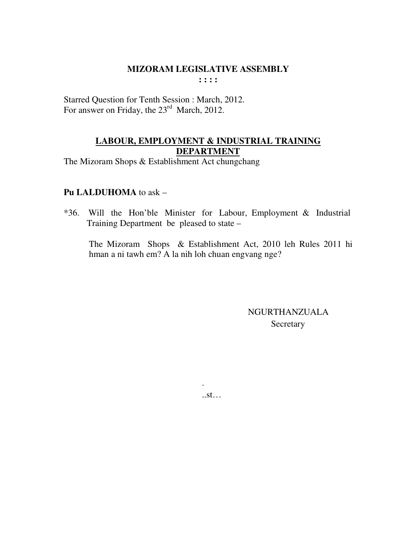#### **MIZORAM LEGISLATIVE ASSEMBLY**  $1:1:1$

Starred Question for Tenth Session : March, 2012. For answer on Friday, the 23<sup>rd</sup> March, 2012.

## LABOUR, EMPLOYMENT & INDUSTRIAL TRAINING **DEPARTMENT**

The Mizoram Shops & Establishment Act chungchang

## Pu LALDUHOMA to ask -

\*36. Will the Hon'ble Minister for Labour, Employment & Industrial Training Department be pleased to state -

The Mizoram Shops & Establishment Act, 2010 leh Rules 2011 hi hman a ni tawh em? A la nih loh chuan engvang nge?

> **NGURTHANZUALA** Secretary

 $S$ . St.  $\ldots$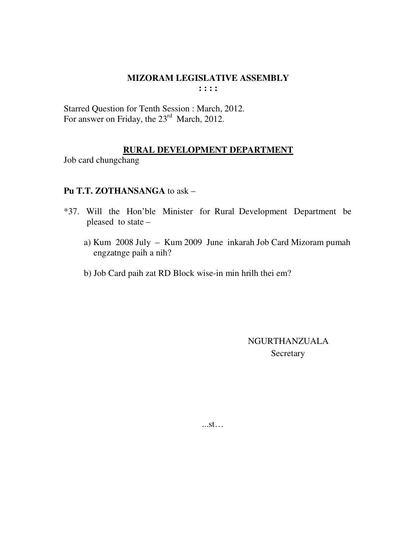Starred Question for Tenth Session : March, 2012. For answer on Friday, the  $23^{\text{rd}}$  March, 2012.

## RURAL DEVELOPMENT DEPARTMENT

Job card chungchang

## Pu T.T. ZOTHANSANGA to ask -

- \*37. Will the Hon'ble Minister for Rural Development Department be pleased to state
	- a) Kum 2008 July Kum 2009 June inkarah Job Card Mizoram pumah engzatnge paih a nih?
	- b) Job Card paih zat RD Block wise-in min hrilh thei em?

**NGURTHANZUALA** Secretary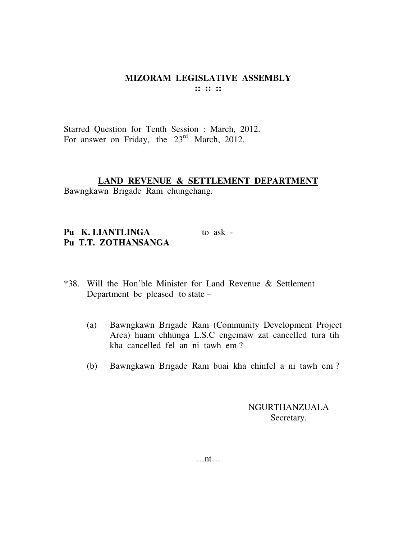Starred Question for Tenth Session : March, 2012. For answer on Friday, the 23<sup>rd</sup> March, 2012.

# **LAND REVENUE & SETTLEMENT DEPARTMENT**

Bawngkawn Brigade Ram chungchang.

Pu K. LIANTLINGA to ask -**Pu T.T. ZOTHANSANGA** 

- \*38. Will the Hon'ble Minister for Land Revenue & Settlement Department be pleased to state –
	- (a) Bawngkawn Brigade Ram (Community Development Project Area) huam chhunga L.S.C engemaw zat cancelled tura tih kha cancelled fel an ni tawh em ?
	- (b) Bawngkawn Brigade Ram buai kha chinfel a ni tawh em ?

NGURTHANZUALA Secretary.

…nt…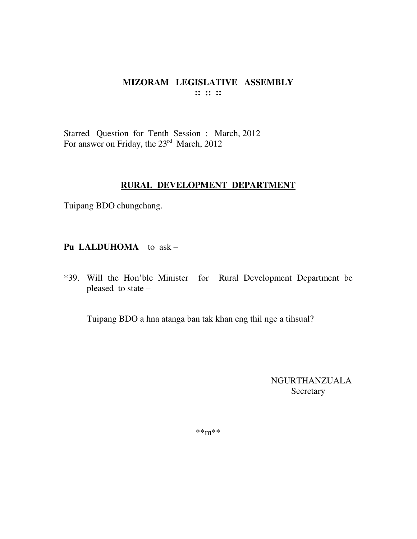Starred Question for Tenth Session : March, 2012 For answer on Friday, the 23<sup>rd</sup> March, 2012

## **RURAL DEVELOPMENT DEPARTMENT**

Tuipang BDO chungchang.

**Pu LALDUHOMA** to ask –

\*39. Will the Hon'ble Minister for Rural Development Department be pleased to state –

Tuipang BDO a hna atanga ban tak khan eng thil nge a tihsual?

NGURTHANZUALA Secretary

\*\*m\*\*